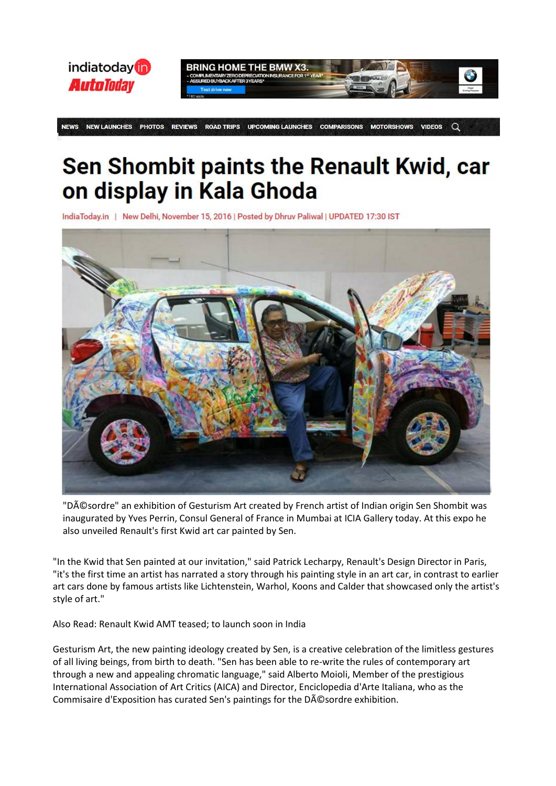

**NFWS NEW LAUNCHES PHOTOS ROAD TRIPS UPCOMING LAUNCHES COMPARISONS MOTORSHOWS VIDEOS REVIEWS**  $\Omega$ 

## Sen Shombit paints the Renault Kwid, car on display in Kala Ghoda

IndiaToday.in | New Delhi, November 15, 2016 | Posted by Dhruv Paliwal | UPDATED 17:30 IST



"Désordre" an exhibition of Gesturism Art created by French artist of Indian origin Sen Shombit was inaugurated by Yves Perrin, Consul General of France in Mumbai at ICIA Gallery today. At this expo he also unveiled Renault's first Kwid art car painted by Sen.

"In the Kwid that Sen painted at our invitation," said Patrick Lecharpy, Renault's Design Director in Paris, "it's the first time an artist has narrated a story through his painting style in an art car, in contrast to earlier art cars done by famous artists like Lichtenstein, Warhol, Koons and Calder that showcased only the artist's style of art."

[Also Read: Renault Kwid AMT teased; to launch soon in India](http://indiatoday.intoday.in/auto/story/renault-kwid-amt-teased-to-launch-soon-in-india/1/799035.html)

Gesturism Art, the new painting ideology created by Sen, is a creative celebration of the limitless gestures of all living beings, from birth to death. "Sen has been able to re-write the rules of contemporary art through a new and appealing chromatic language," said Alberto Moioli, Member of the prestigious International Association of Art Critics (AICA) and Director, Enciclopedia d'Arte Italiana, who as the Commisaire d'Exposition has curated Sen's paintings for the Désordre exhibition.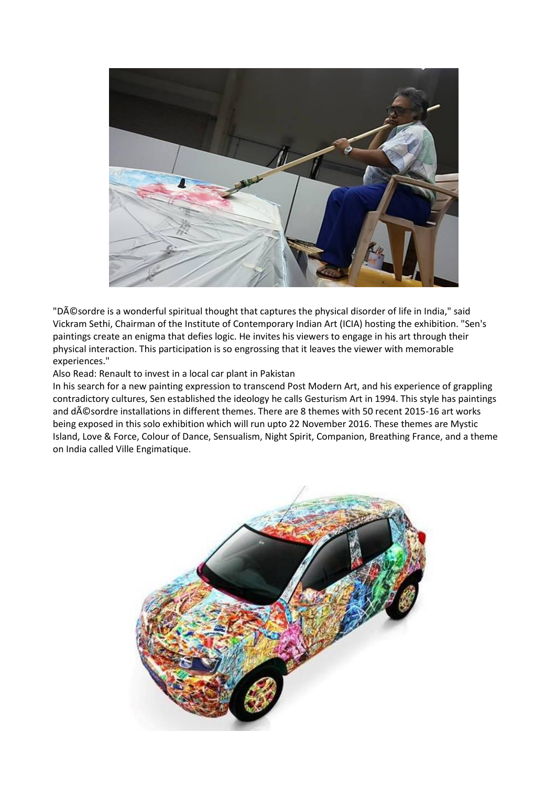

"Désordre is a wonderful spiritual thought that captures the physical disorder of life in India," said Vickram Sethi, Chairman of the Institute of Contemporary Indian Art (ICIA) hosting the exhibition. "Sen's paintings create an enigma that defies logic. He invites his viewers to engage in his art through their physical interaction. This participation is so engrossing that it leaves the viewer with memorable experiences."

[Also Read: Renault to invest in a local car plant in Pakistan](http://indiatoday.intoday.in/auto/story/renault-to-invest-in-a-local-car-plant-in-pakistan/1/802415.html)

In his search for a new painting expression to transcend Post Modern Art, and his experience of grappling contradictory cultures, Sen established the ideology he calls Gesturism Art in 1994. This style has paintings and dAC Sordre installations in different themes. There are 8 themes with 50 recent 2015-16 art works being exposed in this solo exhibition which will run upto 22 November 2016. These themes are Mystic Island, Love & Force, Colour of Dance, Sensualism, Night Spirit, Companion, Breathing France, and a theme on India called Ville Engimatique.